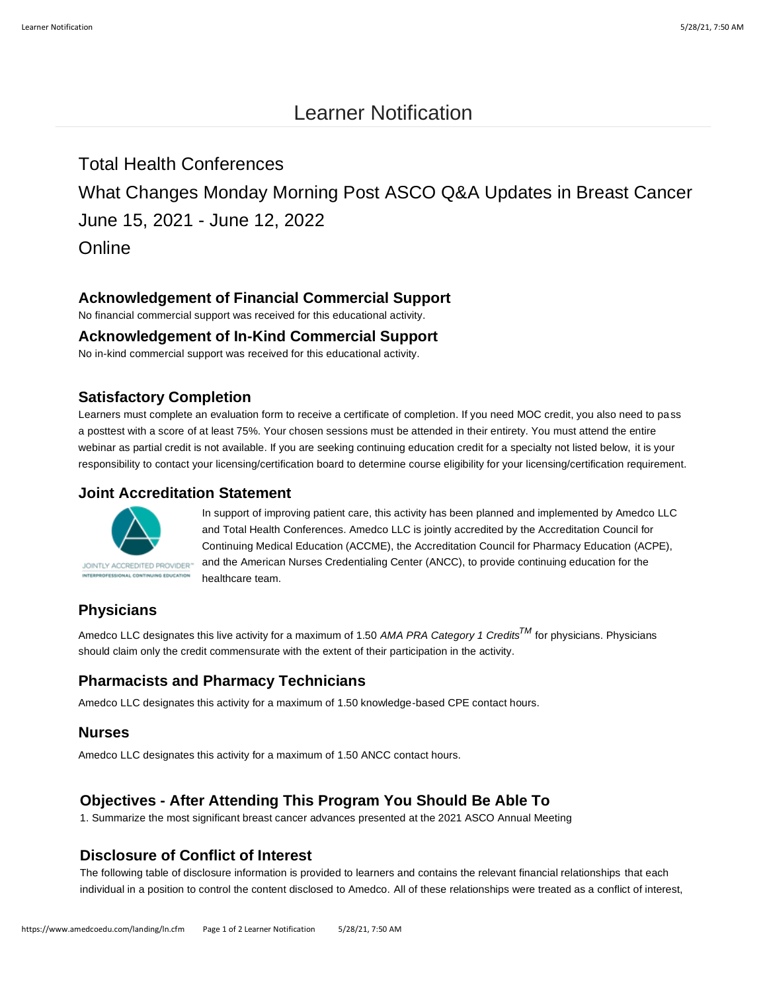# Learner Notification

# Total Health Conferences

What Changes Monday Morning Post ASCO Q&A Updates in Breast Cancer June 15, 2021 - June 12, 2022

**Online** 

# **Acknowledgement of Financial Commercial Support**

No financial commercial support was received for this educational activity.

### **Acknowledgement of In-Kind Commercial Support**

No in-kind commercial support was received for this educational activity.

# **Satisfactory Completion**

Learners must complete an evaluation form to receive a certificate of completion. If you need MOC credit, you also need to pass a posttest with a score of at least 75%. Your chosen sessions must be attended in their entirety. You must attend the entire webinar as partial credit is not available. If you are seeking continuing education credit for a specialty not listed below, it is your responsibility to contact your licensing/certification board to determine course eligibility for your licensing/certification requirement.

#### **Joint Accreditation Statement**



In support of improving patient care, this activity has been planned and implemented by Amedco LLC and Total Health Conferences. Amedco LLC is jointly accredited by the Accreditation Council for Continuing Medical Education (ACCME), the Accreditation Council for Pharmacy Education (ACPE), and the American Nurses Credentialing Center (ANCC), to provide continuing education for the healthcare team.

# **Physicians**

Amedco LLC designates this live activity for a maximum of 1.50 *AMA PRA Category 1 CreditsTM* for physicians. Physicians should claim only the credit commensurate with the extent of their participation in the activity.

# **Pharmacists and Pharmacy Technicians**

Amedco LLC designates this activity for a maximum of 1.50 knowledge-based CPE contact hours.

#### **Nurses**

Amedco LLC designates this activity for a maximum of 1.50 ANCC contact hours.

# **Objectives - After Attending This Program You Should Be Able To**

1. Summarize the most significant breast cancer advances presented at the 2021 ASCO Annual Meeting

# **Disclosure of Conflict of Interest**

The following table of disclosure information is provided to learners and contains the relevant financial relationships that each individual in a position to control the content disclosed to Amedco. All of these relationships were treated as a conflict of interest,